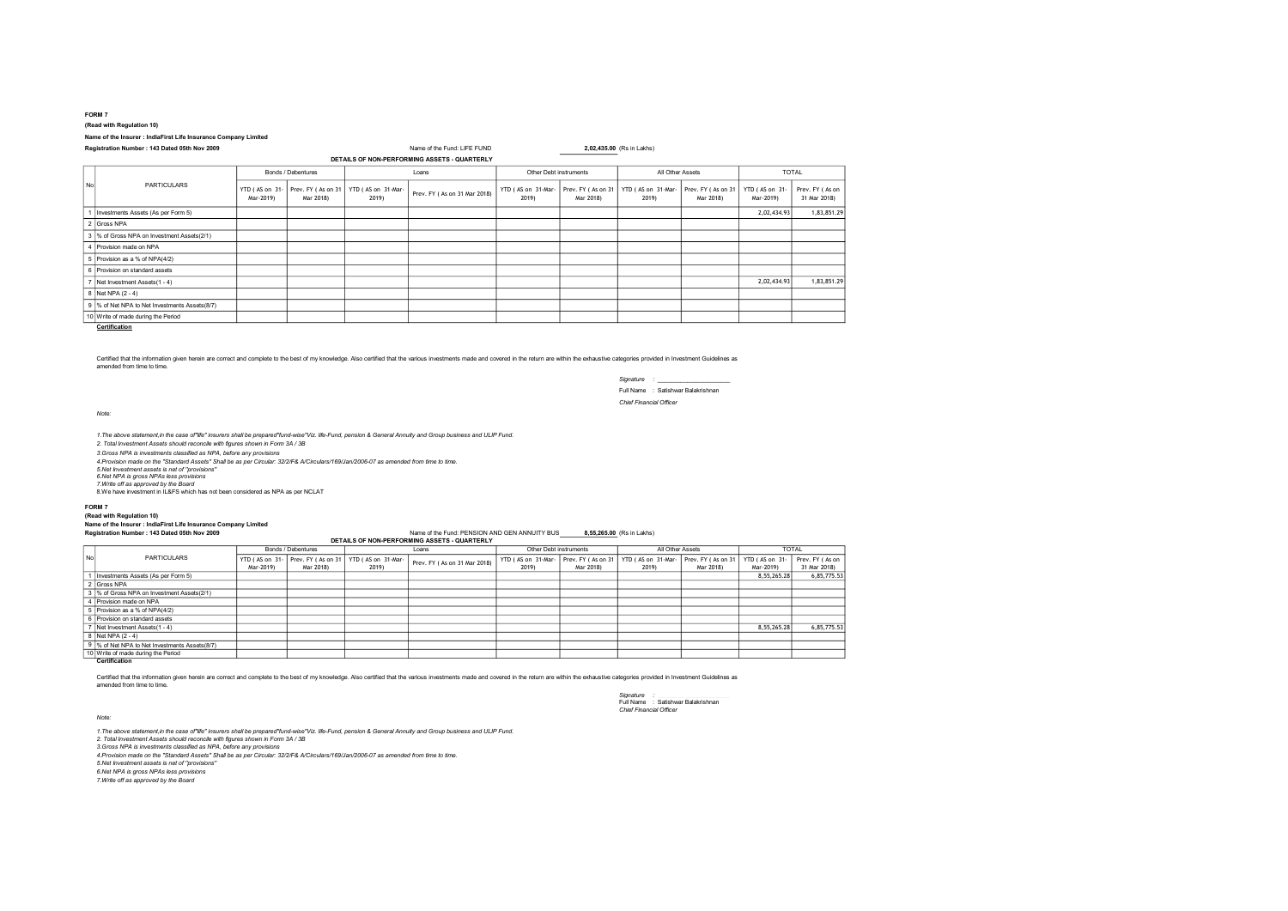# (Read with Regulation 10)

### Name of the Insurer : IndiaFirst Life Insurance Company Limited

## Registration Number : 143 Dated 05th Nov 2009 Name of the Fund: LIFE FUND 2,02,435.00 (Rs in Lakhs)

| DETAILS OF NON-PERFORMING ASSETS - QUARTERLY |                                                |                             |                                 |                             |                              |                             |                                 |                             |                                 |                             |                                 |
|----------------------------------------------|------------------------------------------------|-----------------------------|---------------------------------|-----------------------------|------------------------------|-----------------------------|---------------------------------|-----------------------------|---------------------------------|-----------------------------|---------------------------------|
| No                                           | <b>PARTICULARS</b>                             | Bonds / Debentures          |                                 | Loans                       |                              | Other Debt instruments      |                                 | All Other Assets            |                                 | <b>TOTAL</b>                |                                 |
|                                              |                                                | YTD (AS on 31-<br>Mar-2019) | Prev. FY (As on 31<br>Mar 2018) | YTD (AS on 31-Mar-<br>2019) | Prev. FY (As on 31 Mar 2018) | YTD (AS on 31-Mar-<br>2019) | Prev. FY (As on 31<br>Mar 2018) | YTD (AS on 31-Mar-<br>2019) | Prev. FY (As on 31<br>Mar 2018) | YTD (AS on 31-<br>Mar-2019) | Prev. FY (As on<br>31 Mar 2018) |
|                                              | Investments Assets (As per Form 5)             |                             |                                 |                             |                              |                             |                                 |                             |                                 | 2,02,434.93                 | 1,83,851.29                     |
|                                              | 2 Gross NPA                                    |                             |                                 |                             |                              |                             |                                 |                             |                                 |                             |                                 |
|                                              | 3 % of Gross NPA on Investment Assets(2/1)     |                             |                                 |                             |                              |                             |                                 |                             |                                 |                             |                                 |
|                                              | 4 Provision made on NPA                        |                             |                                 |                             |                              |                             |                                 |                             |                                 |                             |                                 |
|                                              | 5 Provision as a % of NPA(4/2)                 |                             |                                 |                             |                              |                             |                                 |                             |                                 |                             |                                 |
|                                              | 6 Provision on standard assets                 |                             |                                 |                             |                              |                             |                                 |                             |                                 |                             |                                 |
| $\overline{z}$                               | Net Investment Assets (1 - 4)                  |                             |                                 |                             |                              |                             |                                 |                             |                                 | 2,02,434.93                 | 1,83,851.29                     |
|                                              | 8 Net NPA (2 - 4)                              |                             |                                 |                             |                              |                             |                                 |                             |                                 |                             |                                 |
|                                              | 9 % of Net NPA to Net Investments Assets (8/7) |                             |                                 |                             |                              |                             |                                 |                             |                                 |                             |                                 |
|                                              | 10 Write of made during the Period             |                             |                                 |                             |                              |                             |                                 |                             |                                 |                             |                                 |

**Certification** 

Certified that the information given herein are correct and complete to the best of my knowledge. Also certified that the various investments made and covered in the return are within the exhaustive categories provided in amended from time to time.

> Signature : \_\_\_\_\_\_\_\_\_\_\_\_\_\_\_\_\_\_\_\_\_\_ Full Name : Satishwar Balakrishnan Chief Financial Officer

Note:

1.The above statement,in the case of"life" insurers shall be prepared"fund-wise"Viz. life-Fund, pension & General Annuity and Group business and ULIP Fund.<br>2. Total Investment Assets should reconcile with figures shown in

3.Gross NPA is investments classified as NPA, before any provisions

4.Provision made on the "Standard Assets" Shall be as per Circular: 32/2/F& A/Circulars/169/Jan/2006-07 as amended from time to time.

5.Net Investment assets is net of ''provisions''

6.Net NPA is gross NPAs less provisions 7.Write off as approved by the Board

8.We have investment in IL&FS which has not been considered as NPA as per NCLAT

#### FORM 7

### (Read with Regulation 10)

# Name of the Insurer : IndiaFirst Life Insurance Company Limited

## Registration Number : 143 Dated 05th Nov 2009 Name of the Fund: PENSION AND GEN ANNUITY BUS \_\_\_\_\_\_\_\_\_\_\_\_\_\_\_\_\_\_<br>DETAILS OF NON-PERFORMING ASSETS - QUARTERLY

|    |                                               | Bonds / Debentures |                    | Loans              |                              | Other Debt instruments |                    | All Other Assets   |                    | <b>TOTAL</b>   |                 |
|----|-----------------------------------------------|--------------------|--------------------|--------------------|------------------------------|------------------------|--------------------|--------------------|--------------------|----------------|-----------------|
| No | <b>PARTICULARS</b>                            | YTD (AS on 31-     | Prev. FY (As on 31 | YTD (AS on 31-Mar- | Prev. FY (As on 31 Mar 2018) | YTD (AS on 31-Mar-     | Prev. FY (As on 31 | YTD (AS on 31-Mar- | Prev. FY (As on 31 | YTD (AS on 31- | Prev. FY (As on |
|    |                                               | Mar-2019)          | Mar 2018)          | 2019)              |                              | 2019)                  | Mar 2018)          | 2019)              | Mar 2018)          | Mar-2019)      | 31 Mar 2018)    |
|    | Investments Assets (As per Form 5)            |                    |                    |                    |                              |                        |                    |                    |                    | 8.55.265.28    | 6,85,775.53     |
|    | 2 Gross NPA                                   |                    |                    |                    |                              |                        |                    |                    |                    |                |                 |
|    | 3 % of Gross NPA on Investment Assets(2/1)    |                    |                    |                    |                              |                        |                    |                    |                    |                |                 |
|    | 4 Provision made on NPA                       |                    |                    |                    |                              |                        |                    |                    |                    |                |                 |
|    | 5 Provision as a % of NPA(4/2)                |                    |                    |                    |                              |                        |                    |                    |                    |                |                 |
|    | 6 Provision on standard assets                |                    |                    |                    |                              |                        |                    |                    |                    |                |                 |
|    | Net Investment Assets (1 - 4)                 |                    |                    |                    |                              |                        |                    |                    |                    | 8,55,265.28    | 6,85,775.53     |
|    | 8 Net NPA (2 - 4)                             |                    |                    |                    |                              |                        |                    |                    |                    |                |                 |
|    | 9 % of Net NPA to Net Investments Assets(8/7) |                    |                    |                    |                              |                        |                    |                    |                    |                |                 |
|    | 10 Write of made during the Period            |                    |                    |                    |                              |                        |                    |                    |                    |                |                 |
|    | Certification                                 |                    |                    |                    |                              |                        |                    |                    |                    |                |                 |

Certified that the information given herein are correct and complete to the best of my knowledge. Also certified that the various investments made and covered in the return are within the exhaustive categories provided in amended from time to time.

> Signature : \_\_\_\_\_\_\_\_\_\_\_\_\_\_\_\_\_\_\_\_\_\_ Full Name : Satishwar Balakrishnan Chief Financial Officer

Note:

1.The above statement,in the case of"life" insurers shall be prepared"fund-wise"Viz. life-Fund, pension & General Annuity and Group business and ULIP Fund.<br>2. Total Investment Assets should reconcile with figures shown in 3.Gross NPA is investments classified as NPA, before any provisions 4.Provision made on the "Standard Assets" Shall be as per Circular: 32/2/F& A/Circulars/169/Jan/2006-07 as amended from time to time. 5.Net Investment assets is net of ''provisions'' 6.Net NPA is gross NPAs less provisions 7.Write off as approved by the Board

FORM 7